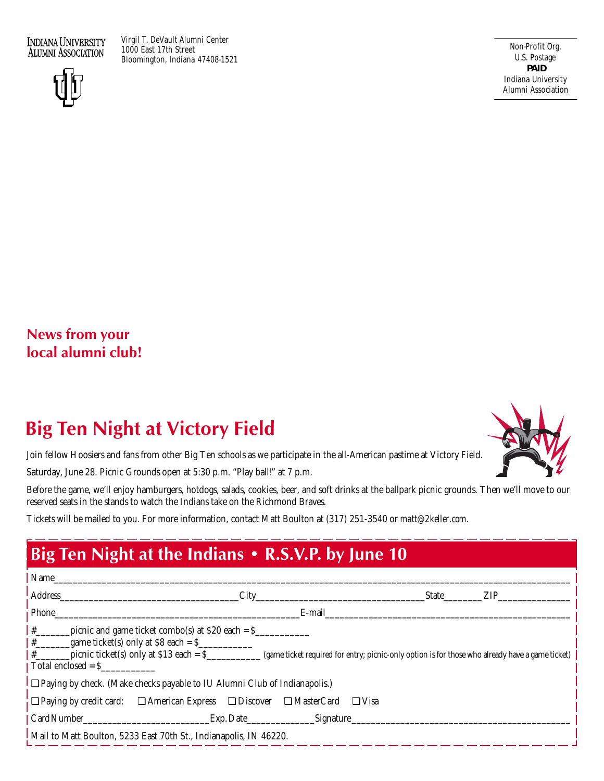**INDIANA UNIVERSITY ALUMNI ASSOCIATION** 

Virgil T. DeVault Alumni Center 1000 East 17th Street Bloomington, Indiana 47408-1521



Non-Profit Org. U.S. Postage **PAID** Indiana University Alumni Association

## **News from your local alumni club!**

# **Big Ten Night at Victory Field**

Join fellow Hoosiers and fans from other Big Ten schools as we participate in the all-American pastime at Victory Field.

Saturday, June 28. Picnic Grounds open at 5:30 p.m. "Play ball!" at 7 p.m.

Before the game, we'll enjoy hamburgers, hotdogs, salads, cookies, beer, and soft drinks at the ballpark picnic grounds. Then we'll move to our reserved seats in the stands to watch the Indians take on the Richmond Braves.

Tickets will be mailed to you. For more information, contact Matt Boulton at (317) 251-3540 or *matt@2keller.com.*

# **Big Ten Night at the Indians • R.S.V.P. by June 10**

| Name                                                                                                                                                                                                                                                                                                                   |           |           |  |              |     |
|------------------------------------------------------------------------------------------------------------------------------------------------------------------------------------------------------------------------------------------------------------------------------------------------------------------------|-----------|-----------|--|--------------|-----|
| Address                                                                                                                                                                                                                                                                                                                | City      |           |  | <b>State</b> | ZIP |
| Phone                                                                                                                                                                                                                                                                                                                  |           | E-mail    |  |              |     |
| #<br>picnic and game ticket combo(s) at $$20$ each = $$$<br>$\frac{+}{+}$ game ticket(s) only at \$8 each = \$<br>picnic ticket(s) only at $$13$ each = $$$<br>$\frac{1}{2}$<br>(game ticket required for entry; picnic-only option is for those who already have a game ticket)<br>$\blacksquare$ Total enclosed = \$ |           |           |  |              |     |
| $\Box$ Paying by check. (Make checks payable to IU Alumni Club of Indianapolis.)                                                                                                                                                                                                                                       |           |           |  |              |     |
| $\Box$ Paying by credit card: $\Box$ American Express $\Box$ Discover $\Box$ MasterCard<br>$\Box$ Visa                                                                                                                                                                                                                 |           |           |  |              |     |
| Card Number                                                                                                                                                                                                                                                                                                            | Exp. Date | Signature |  |              |     |
| Mail to Matt Boulton, 5233 East 70th St., Indianapolis, IN 46220.                                                                                                                                                                                                                                                      |           |           |  |              |     |

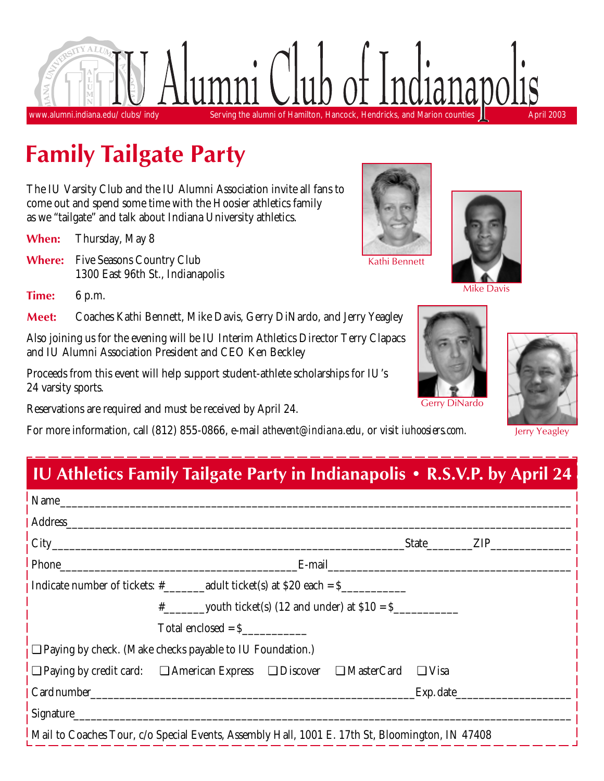

# **Family Tailgate Party**

The IU Varsity Club and the IU Alumni Association invite all fans to come out and spend some time with the Hoosier athletics family as we "tailgate" and talk about Indiana University athletics.

**When:** Thursday, May 8

**Where:** Five Seasons Country Club 1300 East 96th St., Indianapolis

**Time:** 6 p.m.

**Meet:** Coaches Kathi Bennett, Mike Davis, Gerry DiNardo, and Jerry Yeagley

Also joining us for the evening will be IU Interim Athletics Director Terry Clapacs and IU Alumni Association President and CEO Ken Beckley

Proceeds from this event will help support student-athlete scholarships for IU's 24 varsity sports.

Reservations are required and must be received by April 24.

For more information, call (812) 855-0866, e-mail *athevent@indiana.edu,* or visit *iuhoosiers.com.*

Kathi Bennett



Mike Davis





Gerry DiNardo

Jerry Yeagley

# **IU Athletics Family Tailgate Party in Indianapolis • R.S.V.P. by April 24**

| ! Name                                                                                                                                                                                                                         |           |  |  |  |
|--------------------------------------------------------------------------------------------------------------------------------------------------------------------------------------------------------------------------------|-----------|--|--|--|
| Address and the contract of the contract of the contract of the contract of the contract of the contract of the contract of the contract of the contract of the contract of the contract of the contract of the contract of th |           |  |  |  |
|                                                                                                                                                                                                                                | State ZIP |  |  |  |
| E-mail expression and the set of the set of the set of the set of the set of the set of the set of the set of the set of the set of the set of the set of the set of the set of the set of the set of the set of the set of th |           |  |  |  |
| Indicate number of tickets: $\#$ adult ticket(s) at \$20 each = \$                                                                                                                                                             |           |  |  |  |
| $\frac{4}{x}$ youth ticket(s) (12 and under) at \$10 = \$                                                                                                                                                                      |           |  |  |  |
| $Total enclosed = S$                                                                                                                                                                                                           |           |  |  |  |
| $\frac{1}{2}$ Paying by check. (Make checks payable to IU Foundation.)                                                                                                                                                         |           |  |  |  |
| <b>D</b> Paying by credit card: $\Box$ American Express $\Box$ Discover $\Box$ MasterCard $\Box$ Visa                                                                                                                          |           |  |  |  |
| Card number Exp. date Exp. date                                                                                                                                                                                                |           |  |  |  |
| $\frac{1}{1}$ Signature                                                                                                                                                                                                        |           |  |  |  |
| Mail to Coaches Tour, c/o Special Events, Assembly Hall, 1001 E. 17th St, Bloomington, IN 47408                                                                                                                                |           |  |  |  |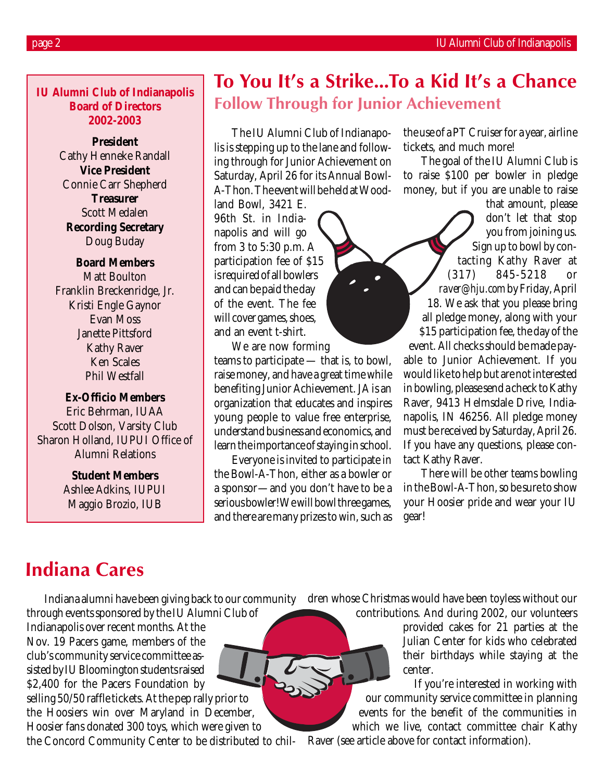**IU Alumni Club of Indianapolis Board of Directors 2002-2003**

> **President** Cathy Henneke Randall **Vice President** Connie Carr Shepherd **Treasurer** Scott Medalen **Recording Secretary** Doug Buday

**Board Members** Matt Boulton Franklin Breckenridge, Jr. Kristi Engle Gaynor Evan Moss Janette Pittsford Kathy Raver Ken Scales Phil Westfall

### **Ex-Officio Members**

Eric Behrman, IUAA Scott Dolson, Varsity Club Sharon Holland, IUPUI Office of Alumni Relations

**Student Members**

Ashlee Adkins, IUPUI Maggio Brozio, IUB

# **To You It's a Strike…To a Kid It's a Chance Follow Through for Junior Achievement**

The IU Alumni Club of Indianapolis is stepping up to the lane and following through for Junior Achievement on Saturday, April 26 for its Annual Bowl-A-Thon. The event will be held at Wood-

land Bowl, 3421 E. 96th St. in Indianapolis and will go from 3 to 5:30 p.m. A participation fee of \$15 is required of all bowlers and can be paid the day of the event. The fee will cover games, shoes, and an event t-shirt.

We are now forming teams to participate — that is, to bowl, raise money, and have a great time while benefiting Junior Achievement. JA is an organization that educates and inspires young people to value free enterprise, understand business and economics, and learn the importance of staying in school.

Everyone is invited to participate in the Bowl-A-Thon, either as a bowler or a sponsor—and you don't have to be a serious bowler! We will bowl three games, and there are many prizes to win, such as

the use of a PT Cruiser for a year, airline tickets, and much more!

The goal of the IU Alumni Club is to raise \$100 per bowler in pledge money, but if you are unable to raise

that amount, please don't let that stop you from joining us. Sign up to bowl by contacting Kathy Raver at (317) 845-5218 or *raver@hju.com*by Friday, April 18. We ask that you please bring all pledge money, along with your \$15 participation fee, the day of the event. All checks should be made payable to Junior Achievement. If you would like to help but are not interested in bowling, please send a check to Kathy Raver, 9413 Helmsdale Drive, Indianapolis, IN 46256. All pledge money must be received by Saturday, April 26. If you have any questions, please con-

There will be other teams bowling in the Bowl-A-Thon, so be sure to show your Hoosier pride and wear your IU gear!

# **Indiana Cares**

Indiana alumni have been giving back to our community dren whose Christmas would have been toyless without our through events sponsored by the IU Alumni Club of

Indianapolis over recent months. At the Nov. 19 Pacers game, members of the club's community service committee assisted by IU Bloomington students raised \$2,400 for the Pacers Foundation by selling 50/50 raffle tickets. At the pep rally prior to the Hoosiers win over Maryland in December, Hoosier fans donated 300 toys, which were given to

the Concord Community Center to be distributed to chil-Raver (see article above for contact information).

tact Kathy Raver.

contributions. And during 2002, our volunteers provided cakes for 21 parties at the Julian Center for kids who celebrated their birthdays while staying at the center.

If you're interested in working with our community service committee in planning events for the benefit of the communities in which we live, contact committee chair Kathy